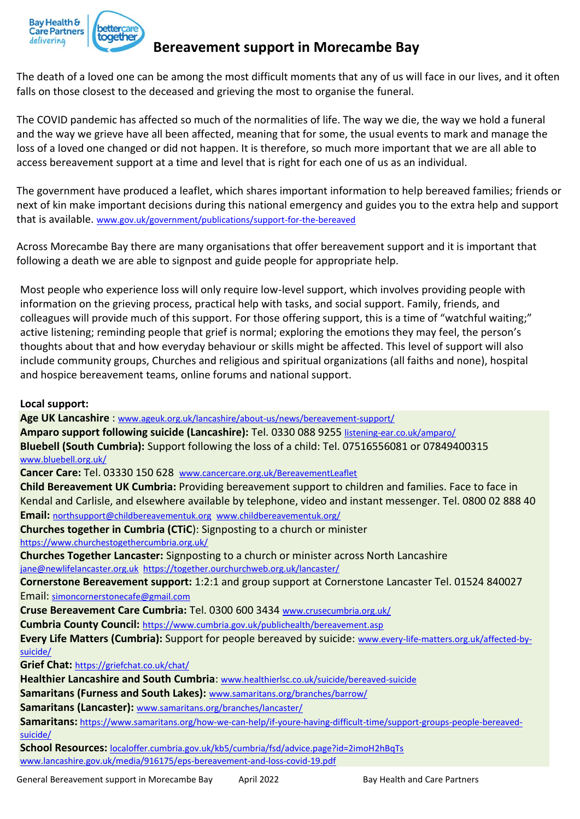

## **Bereavement support in Morecambe Bay**

The death of a loved one can be among the most difficult moments that any of us will face in our lives, and it often falls on those closest to the deceased and grieving the most to organise the funeral.

The COVID pandemic has affected so much of the normalities of life. The way we die, the way we hold a funeral and the way we grieve have all been affected, meaning that for some, the usual events to mark and manage the loss of a loved one changed or did not happen. It is therefore, so much more important that we are all able to access bereavement support at a time and level that is right for each one of us as an individual.

The government have produced a leaflet, which shares important information to help bereaved families; friends or next of kin make important decisions during this national emergency and guides you to the extra help and support that is available. [www.gov.uk/government/publications/support-for-the-bereaved](http://www.gov.uk/government/publications/support-for-the-bereaved)

Across Morecambe Bay there are many organisations that offer bereavement support and it is important that following a death we are able to signpost and guide people for appropriate help.

Most people who experience loss will only require low-level support, which involves providing people with information on the grieving process, practical help with tasks, and social support. Family, friends, and colleagues will provide much of this support. For those offering support, this is a time of "watchful waiting;" active listening; reminding people that grief is normal; exploring the emotions they may feel, the person's thoughts about that and how everyday behaviour or skills might be affected. This level of support will also include community groups, Churches and religious and spiritual organizations (all faiths and none), hospital and hospice bereavement teams, online forums and national support.

### **Local support:**

**Age UK Lancashire** : [www.ageuk.org.uk/lancashire/about-us/news/bereavement-support/](http://www.ageuk.org.uk/lancashire/about-us/news/bereavement-support/) **Amparo support following suicide (Lancashire):** Tel. 0330 088 9255 [listening-ear.co.uk/amparo/](https://listening-ear.co.uk/amparo/) **Bluebell (South Cumbria):** Support following the loss of a child: Tel. 07516556081 or 07849400315 [www.bluebell.org.uk/](http://www.bluebell.org.uk/) **Cancer Care:** Tel. 03330 150 628 [www.cancercare.org.uk/BereavementLeaflet](http://www.cancercare.org.uk/BereavementLeaflet) **Child Bereavement UK Cumbria:** Providing bereavement support to children and families. Face to face in Kendal and Carlisle, and elsewhere available by telephone, video and instant messenger. Tel. 0800 02 888 40 **Email:** [northsupport@childbereavementuk.org](mailto:northsupport@childbereavementuk.org) [www.childbereavementuk.org/](http://www.childbereavementuk.org/cumbria) **Churches together in Cumbria (CTiC**): Signposting to a church or minister <https://www.churchestogethercumbria.org.uk/> **Churches Together Lancaster:** Signposting to a church or minister across North Lancashire [jane@newlifelancaster.org.uk](mailto:jane@newlifelancaster.org.uk) <https://together.ourchurchweb.org.uk/lancaster/> **Cornerstone Bereavement support:** 1:2:1 and group support at Cornerstone Lancaster Tel. 01524 840027 Email: [simoncornerstonecafe@gmail.com](mailto:simoncornerstonecafe@gmail.com) **Cruse Bereavement Care Cumbria:** Tel. 0300 600 3434 [www.crusecumbria.org.uk/](http://www.crusecumbria.org.uk/) **Cumbria County Council:** <https://www.cumbria.gov.uk/publichealth/bereavement.asp> **Every Life Matters (Cumbria):** Support for people bereaved by suicide: [www.every-life-matters.org.uk/affected-by](http://www.every-life-matters.org.uk/affected-by-suicide/)[suicide/](http://www.every-life-matters.org.uk/affected-by-suicide/) **Grief Chat:** <https://griefchat.co.uk/chat/> **Healthier Lancashire and South Cumbria**: [www.healthierlsc.co.uk/suicide/bereaved-suicide](http://www.healthierlsc.co.uk/suicide/bereaved-suicide) **Samaritans (Furness and South Lakes):** [www.samaritans.org/branches/barrow/](http://www.samaritans.org/branches/barrow/) **Samaritans (Lancaster):** [www.samaritans.org/branches/lancaster/](http://www.samaritans.org/branches/lancaster/) **Samaritans:** [https://www.samaritans.org/how-we-can-help/if-youre-having-difficult-time/support-groups-people-bereaved](https://www.samaritans.org/how-we-can-help/if-youre-having-difficult-time/support-groups-people-bereaved-suicide/)[suicide/](https://www.samaritans.org/how-we-can-help/if-youre-having-difficult-time/support-groups-people-bereaved-suicide/)

**School Resources:** [localoffer.cumbria.gov.uk/kb5/cumbria/fsd/advice.page?id=2imoH2hBqTs](https://localoffer.cumbria.gov.uk/kb5/cumbria/fsd/advice.page?id=2imoH2hBqTs) [www.lancashire.gov.uk/media/916175/eps-bereavement-and-loss-covid-19.pdf](http://www.lancashire.gov.uk/media/916175/eps-bereavement-and-loss-covid-19.pdf)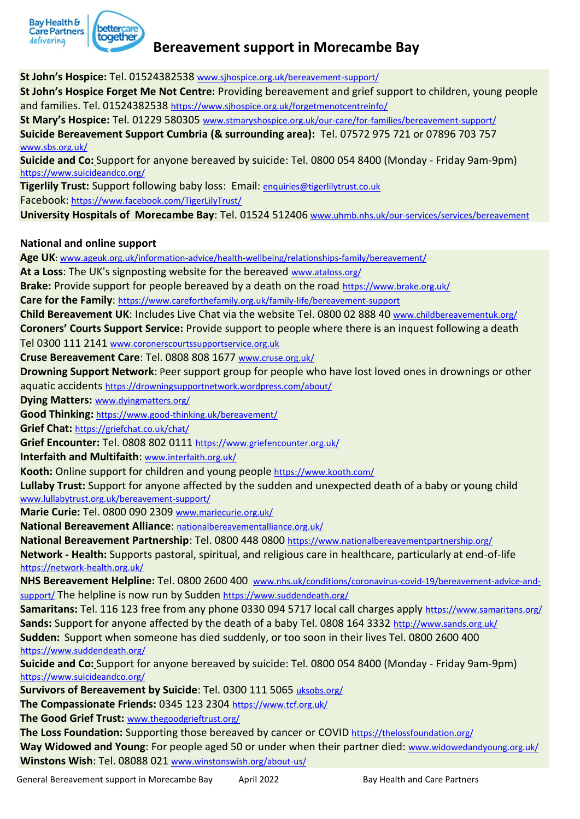

# **Bereavement support in Morecambe Bay**

**St John's Hospice:** Tel. 01524382538 www.sjhospice.org.uk/bereavement-support/ **St John's Hospice Forget Me Not Centre:** Providing bereavement and grief support to children, young people

and families. Tel. 01524382538 <https://www.sjhospice.org.uk/forgetmenotcentreinfo/>

**St Mary's Hospice:** Tel. 01229 580305 [www.stmaryshospice.org.uk/our-care/for-families/bereavement-support/](http://www.stmaryshospice.org.uk/our-care/for-families/bereavement-support/)

**Suicide Bereavement Support Cumbria (& surrounding area):** Tel. 07572 975 721 or 07896 703 757 [www.sbs.org.uk/](http://www.sbs.org.uk/)

**Suicide and Co:** Support for anyone bereaved by suicide: Tel. 0800 054 8400 (Monday - Friday 9am-9pm) https://www.suicideandco.org/

**Tigerlily Trust:** Support following baby loss: Email: [enquiries@tigerlilytrust.co.uk](mailto:enquiries@tigerlilytrust.co.uk) Facebook: <https://www.facebook.com/TigerLilyTrust/>

**University Hospitals of Morecambe Bay**: Tel. 01524 512406 [www.uhmb.nhs.uk/our-services/services/bereavement](http://www.uhmb.nhs.uk/our-services/services/bereavement)

#### **National and online support**

**Age UK**[: www.ageuk.org.uk/information-advice/health-wellbeing/relationships-family/bereavement/](http://www.ageuk.org.uk/information-advice/health-wellbeing/relationships-family/bereavement/)

**At a Loss**: The UK's signposting website for the bereaved [www.ataloss.org/](http://www.ataloss.org/)

**Brake:** Provide support for people bereaved by a death on the road <https://www.brake.org.uk/>

**Care for the Family**: <https://www.careforthefamily.org.uk/family-life/bereavement-support>

**Child Bereavement UK**: Includes Live Chat via the website Tel. 0800 02 888 40 [www.childbereavementuk.org/](http://www.childbereavementuk.org/) **Coroners' Courts Support Service:** Provide support to people where there is an inquest following a death Tel 0300 111 2141 [www.coronerscourtssupportservice.org.uk](http://www.coronerscourtssupportservice.org.uk/)

**Cruse Bereavement Care**: Tel. 0808 808 1677 [www.cruse.org.uk/](http://www.cruse.org.uk/)

**Drowning Support Network**: Peer support group for people who have lost loved ones in drownings or other aquatic accidents <https://drowningsupportnetwork.wordpress.com/about/>

**Dying Matters:** [www.dyingmatters.org/](http://www.dyingmatters.org/)

**Good Thinking:** <https://www.good-thinking.uk/bereavement/>

**Grief Chat:** <https://griefchat.co.uk/chat/>

**Grief Encounter:** Tel. 0808 802 0111 <https://www.griefencounter.org.uk/>

**Interfaith and Multifaith**: [www.interfaith.org.uk/](http://www.interfaith.org.uk/)

**Kooth:** Online support for children and young people <https://www.kooth.com/>

**Lullaby Trust:** Support for anyone affected by the sudden and unexpected death of a baby or young child [www.lullabytrust.org.uk/bereavement-support/](http://www.lullabytrust.org.uk/bereavement-support/)

**Marie Curie:** Tel. 0800 090 2309 [www.mariecurie.org.uk/](http://www.mariecurie.org.uk/)

**National Bereavement Alliance**: [nationalbereavementalliance.org.uk/](https://nationalbereavementalliance.org.uk/)

**National Bereavement Partnership**: Tel. 0800 448 0800 <https://www.nationalbereavementpartnership.org/>

**Network - Health:** Supports pastoral, spiritual, and religious care in healthcare, particularly at end-of-life <https://network-health.org.uk/>

**NHS Bereavement Helpline:** Tel. 0800 2600 400 [www.nhs.uk/conditions/coronavirus-covid-19/bereavement-advice-and](http://www.nhs.uk/conditions/coronavirus-covid-19/bereavement-advice-and-support/)[support/](http://www.nhs.uk/conditions/coronavirus-covid-19/bereavement-advice-and-support/) The helpline is now run by Sudden <https://www.suddendeath.org/>

**Samaritans:** Tel. 116 123 free from any phone 0330 094 5717 local call charges apply <https://www.samaritans.org/> **Sands:** Support for anyone affected by the death of a baby Tel. 0808 164 3332 <http://www.sands.org.uk/> **Sudden:** Support when someone has died suddenly, or too soon in their lives Tel. 0800 2600 400 <https://www.suddendeath.org/>

**Suicide and Co:** Support for anyone bereaved by suicide: Tel. 0800 054 8400 (Monday - Friday 9am-9pm) https://www.suicideandco.org/

**Survivors of Bereavement by Suicide**: Tel. 0300 111 5065 [uksobs.org/](https://uksobs.org/)

**The Compassionate Friends:** 0345 123 2304 <https://www.tcf.org.uk/>

**The Good Grief Trust:** [www.thegoodgrieftrust.org/](http://www.thegoodgrieftrust.org/)

The Loss Foundation: Supporting those bereaved by cancer or COVID <https://thelossfoundation.org/> Way Widowed and Young: For people aged 50 or under when their partner died: [www.widowedandyoung.org.uk/](http://www.widowedandyoung.org.uk/) **Winstons Wish**: Tel. 08088 021 [www.winstonswish.org/about-us/](http://www.winstonswish.org/about-us/)